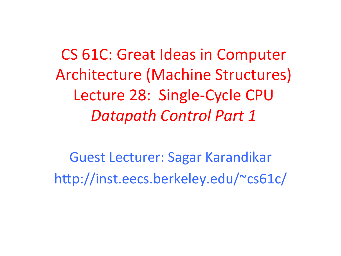CS 61C: Great Ideas in Computer Architecture (Machine Structures) Lecture 28: Single-Cycle CPU *Datapath Control Part 1* 

Guest Lecturer: Sagar Karandikar http://inst.eecs.berkeley.edu/~cs61c/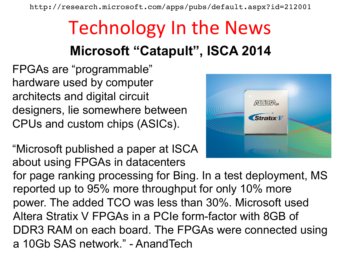http://research.microsoft.com/apps/pubs/default.aspx?id=212001

### Technology In the News **Microsoft "Catapult", ISCA 2014**

 $ATEBA$ 

Stratıx V

FPGAs are "programmable" hardware used by computer architects and digital circuit designers, lie somewhere between CPUs and custom chips (ASICs).

"Microsoft published a paper at ISCA about using FPGAs in datacenters for page ranking processing for Bing. In a test deployment, MS reported up to 95% more throughput for only 10% more power. The added TCO was less than 30%. Microsoft used Altera Stratix V FPGAs in a PCIe form-factor with 8GB of DDR3 RAM on each board. The FPGAs were connected using a 10Gb SAS network." - AnandTech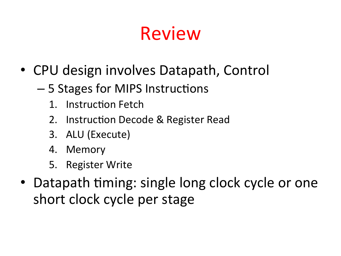## Review

- CPU design involves Datapath, Control
	- 5 Stages for MIPS Instructions
		- 1. Instruction Fetch
		- 2. Instruction Decode & Register Read
		- 3. ALU (Execute)
		- 4. Memory
		- 5. Register Write
- Datapath timing: single long clock cycle or one short clock cycle per stage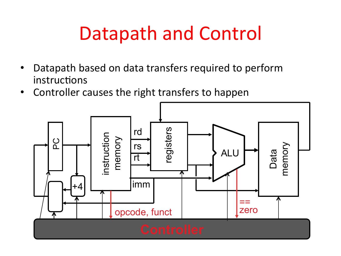## Datapath and Control

- Datapath based on data transfers required to perform instructions
- Controller causes the right transfers to happen

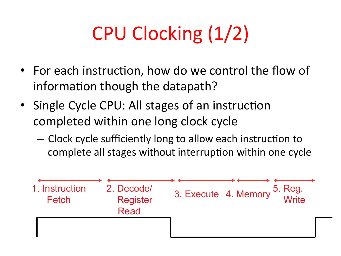# CPU Clocking (1/2)

- For each instruction, how do we control the flow of information though the datapath?
- Single Cycle CPU: All stages of an instruction completed within one long clock cycle
	- $-$  Clock cycle sufficiently long to allow each instruction to complete all stages without interruption within one cycle

| 1. Instruction<br>Fetch | 2. Decode/<br><b>Register</b><br><b>Read</b> | 5. Reg.<br>Write<br>3. Execute 4. Memory |  |
|-------------------------|----------------------------------------------|------------------------------------------|--|
|                         |                                              |                                          |  |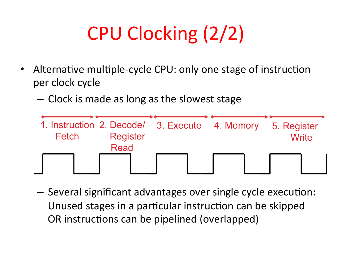# CPU Clocking (2/2)

- Alternative multiple-cycle CPU: only one stage of instruction per clock cycle
	- $-$  Clock is made as long as the slowest stage



 $-$  Several significant advantages over single cycle execution: Unused stages in a particular instruction can be skipped OR instructions can be pipelined (overlapped)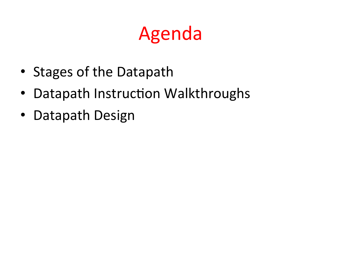## Agenda

- Stages of the Datapath
- Datapath Instruction Walkthroughs
- Datapath Design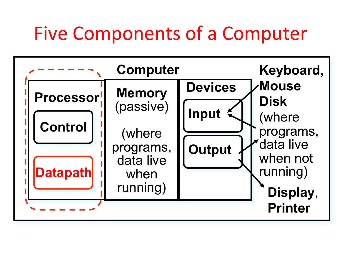### Five Components of a Computer

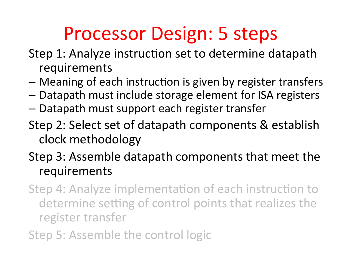## Processor Design: 5 steps

- Step 1: Analyze instruction set to determine datapath requirements
- $-$  Meaning of each instruction is given by register transfers
- $-$  Datapath must include storage element for ISA registers
- $-$  Datapath must support each register transfer
- Step 2: Select set of datapath components & establish clock methodology
- Step 3: Assemble datapath components that meet the requirements
- Step 4: Analyze implementation of each instruction to determine setting of control points that realizes the register transfer
- Step 5: Assemble the control logic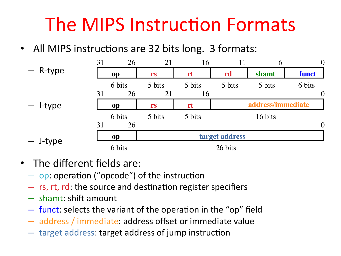## The MIPS Instruction Formats

• All MIPS instructions are 32 bits long. 3 formats:

|            | 31 | 26        | 21             | 16     | 11     | 6                 | $\theta$       |
|------------|----|-----------|----------------|--------|--------|-------------------|----------------|
| - R-type   |    | op        | rs             | rt     | rd     | shamt             | funct          |
|            |    | 6 bits    | 5 bits         | 5 bits | 5 bits | 5 bits            | 6 bits         |
|            | 31 | 26        | 21             | 16     |        |                   | $\theta$       |
| $-$ l-type |    | op        | rs             | rt     |        | address/immediate |                |
|            |    | 6 bits    | 5 bits         | 5 bits |        | 16 bits           |                |
|            | 31 | 26        |                |        |        |                   | $\overline{0}$ |
| - J-type   |    | <b>op</b> | target address |        |        |                   |                |
|            |    | 6 bits    | 26 bits        |        |        |                   |                |

- $\bullet$  The different fields are:
	- $-$  op: operation ("opcode") of the instruction
	- $-$  rs, rt, rd: the source and destination register specifiers
	- $-$  shamt: shift amount
	- $-$  funct: selects the variant of the operation in the "op" field
	- $-$  address / immediate: address offset or immediate value
	- $-$  target address: target address of jump instruction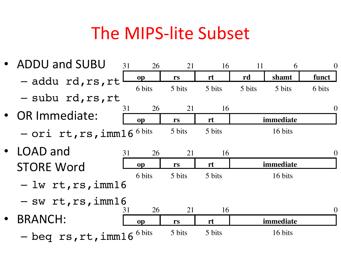### The MIPS-lite Subset

• ADDU and SUBU – addu rd,rs,rt – subu rd,rs,rt • OR Immediate:  $-$  Ori rt,rs,imm16<sup>6 bits</sup> 5 bits 5 bits 16 bits LOAD and **STORE Word** – lw rt,rs,imm16  $-$  sw rt,rs,imm16 • BRANCH: – beq rs,rt,imm16 **op rs rt rd shamt funct** 31 26 21 16 11 6 0 6 bits 5 bits 5 bits 5 bits 5 bits 6 bits **op rs rt immediate** 31 26 21 16 0 **op rs rt immediate** 31 26 21 16 0 6 bits 5 bits 5 bits 16 bits **op rs rt immediate** 31 26 21 16 0 6 bits 5 bits 5 bits 16 bits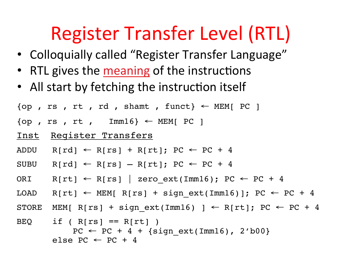## Register Transfer Level (RTL)

- Colloquially called "Register Transfer Language"
- RTL gives the meaning of the instructions
- All start by fetching the instruction itself

```
\{op, rs, rt, rd, shamt, funct\} \leftarrow \text{MEM}[PC]
```
- $\{op, rs, rt, Imm16\} \leftarrow MEM[PC]$
- Inst Register Transfers
- ADDU R[rd]  $\leftarrow$  R[rs] + R[rt]; PC  $\leftarrow$  PC + 4
- SUBU  $R[rd] \leftarrow R[rs] R[rt]$ ; PC  $\leftarrow$  PC + 4
- ORI R[rt]  $\leftarrow$  R[rs] | zero ext(Imm16); PC  $\leftarrow$  PC + 4
- LOAD R[rt] ← MEM[ R[rs] + sign ext(Imm16)]; PC ← PC + 4
- STORE MEM[ R[rs] + sign ext(Imm16) ] ← R[rt]; PC ← PC + 4

```
BEQ if (R[rs] == R[rt])
    PC \leftarrow PC + 4 + {sign ext(Imm16)}, 2'b00}
else PC \leftarrow PC + 4
```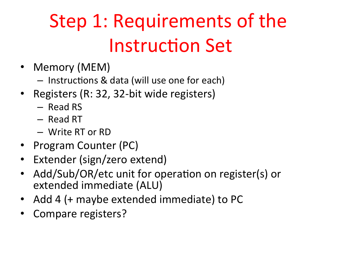# Step 1: Requirements of the **Instruction Set**

- Memory (MEM)
	- $-$  Instructions & data (will use one for each)
- Registers (R: 32, 32-bit wide registers)
	- Read RS
	- Read RT
	- Write RT or RD
- Program Counter (PC)
- Extender (sign/zero extend)
- Add/Sub/OR/etc unit for operation on register(s) or extended immediate (ALU)
- Add 4 (+ maybe extended immediate) to PC
- Compare registers?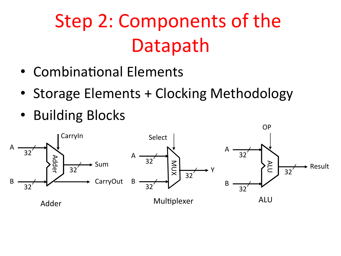# Step 2: Components of the Datapath

- Combinational Elements
- Storage Elements + Clocking Methodology
- Building Blocks

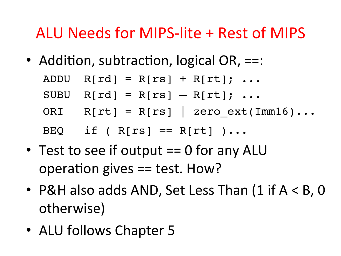#### ALU Needs for MIPS-lite + Rest of MIPS

• Addition, subtraction, logical OR,  $==$ :

| ADDU $R[rd] = R[rs] + R[rt]; $        |
|---------------------------------------|
| SUBU $R[rd] = R[rs] - R[rt]$ ;        |
| ORI $R[rt] = R[rs]$   zero ext(Imm16) |
| BEQ if (R[rs] == $R[rt]$ )            |

- Test to see if output  $== 0$  for any ALU operation gives  $==$  test. How?
- P&H also adds AND, Set Less Than  $(1$  if  $A < B$ , 0 otherwise)
- ALU follows Chapter 5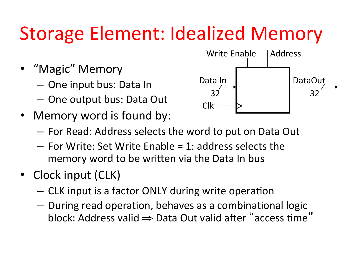## Storage Element: Idealized Memory

- "Magic" Memory
	- $-$  One input bus: Data In
	- $-$  One output bus: Data Out
- Memory word is found by:



- $-$  For Read: Address selects the word to put on Data Out
- $-$  For Write: Set Write Enable = 1: address selects the memory word to be written via the Data In bus
- Clock input (CLK)
	- $-$  CLK input is a factor ONLY during write operation
	- $-$  During read operation, behaves as a combinational logic block: Address valid  $\Rightarrow$  Data Out valid after "access time"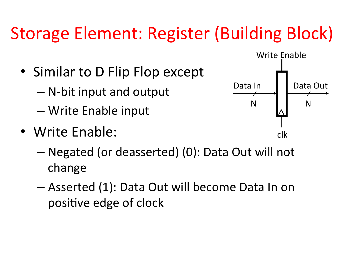### Storage Element: Register (Building Block)

- Similar to D Flip Flop except
	- $-$  N-bit input and output
	- Write Enable input
- Write Enable:



- Negated (or deasserted) (0): Data Out will not change
- $-$  Asserted (1): Data Out will become Data In on positive edge of clock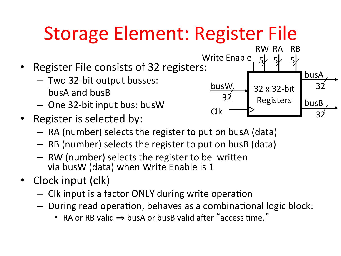## Storage Element: Register File

- Register File consists of 32 registers:
	- $-$  Two 32-bit output busses: busA and busB
	- $-$  One 32-bit input bus: busW
- Register is selected by:
	- $-$  RA (number) selects the register to put on busA (data)
	- $-$  RB (number) selects the register to put on busB (data)
	- $-$  RW (number) selects the register to be written via busW (data) when Write Enable is 1
- Clock input (clk)
	- $-$  Clk input is a factor ONLY during write operation
	- $-$  During read operation, behaves as a combinational logic block:
		- RA or RB valid  $\Rightarrow$  busA or busB valid after "access time."

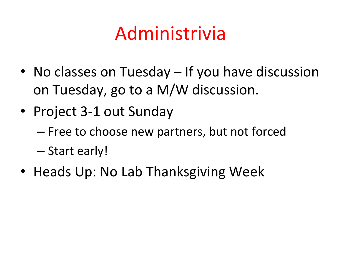## Administrivia

- No classes on Tuesday If you have discussion on Tuesday, go to a M/W discussion.
- Project 3-1 out Sunday
	- $-$  Free to choose new partners, but not forced
	- Start early!
- Heads Up: No Lab Thanksgiving Week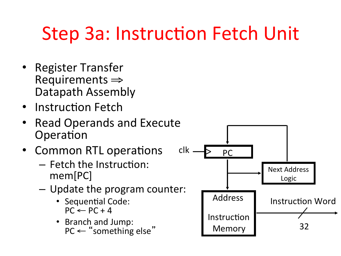## Step 3a: Instruction Fetch Unit

- Register Transfer<br>  $\epsilon \Rightarrow$  Requirements Datapath Assembly
- Instruction Fetch
- Read Operands and Execute Operation
- Common RTL operations
	- $-$  Fetch the Instruction: mem[PC]
	- $-$  Update the program counter:
		- Sequential Code:  $PC \leftarrow PC + 4$
		- Branch and Jump:

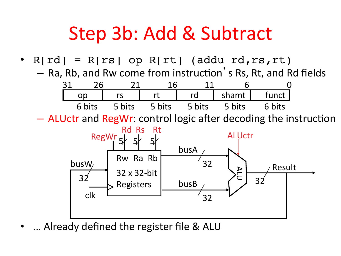### Step 3b: Add & Subtract

•  $R[rd] = R[rs]$  op  $R[rt]$  (addu rd, rs, rt)  $-$  Ra, Rb, and Rw come from instruction's Rs, Rt, and Rd fields



 $-$  ALUctr and RegWr: control logic after decoding the instruction



... Already defined the register file & ALU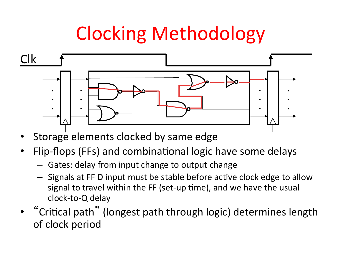## Clocking Methodology



- Storage elements clocked by same edge
- Flip-flops (FFs) and combinational logic have some delays
	- $-$  Gates: delay from input change to output change
	- $-$  Signals at FF D input must be stable before active clock edge to allow signal to travel within the FF (set-up time), and we have the usual clock-to-Q delay
- "Critical path" (longest path through logic) determines length of clock period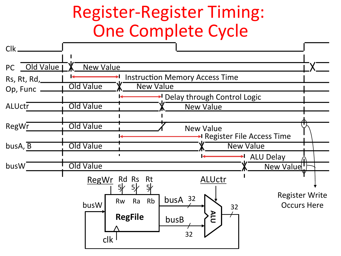### Register-Register Timing: One Complete Cycle

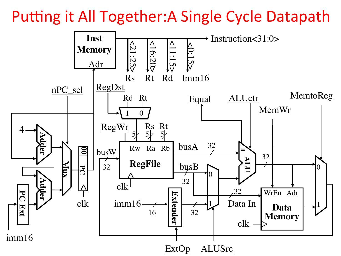Putting it All Together: A Single Cycle Datapath

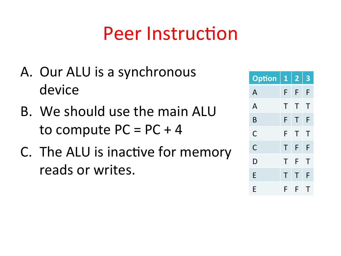### **Peer Instruction**

- A. Our ALU is a synchronous device
- B. We should use the main ALU to compute  $PC = PC + 4$
- C. The ALU is inactive for memory reads or writes.

| <b>Option</b> | $\mathbf{1}$ | $\overline{\mathbf{2}}$ | 3 |
|---------------|--------------|-------------------------|---|
| A             | F            | F                       | F |
| A             | Τ            | Τ                       | Т |
| B             | F            | Τ                       | F |
| C             | F            | Т                       | Т |
| C             | Τ            | F                       | F |
| D             | Τ            | F                       | Τ |
| E             | Τ            | Τ                       | F |
| F             | F            | F                       | Т |